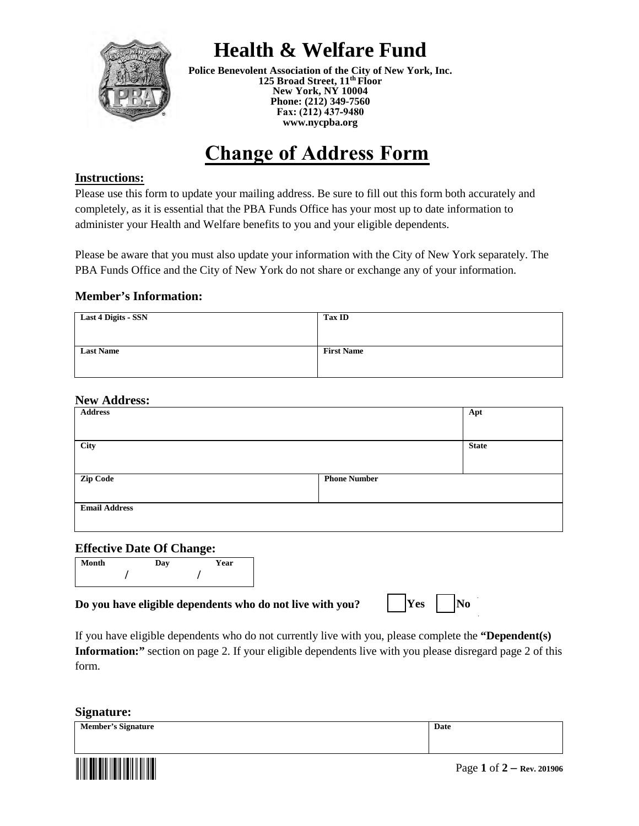

## **Health & Welfare Fund**

**Police Benevolent Association of the City of New York, Inc. 125 Broad Street, 11th Floor New York, NY 10004 Phone: (212) 349-7560 Fax: (212) 437-9480 [www.nycpba.org](http://www.nycpba.org/)** 

# **Change of Address Form**

#### **Instructions:**

Please use this form to update your mailing address. Be sure to fill out this form both accurately and completely, as it is essential that the PBA Funds Office has your most up to date information to administer your Health and Welfare benefits to you and your eligible dependents.

Please be aware that you must also update your information with the City of New York separately. The PBA Funds Office and the City of New York do not share or exchange any of your information.

#### **Member's Information:**

| <b>Last 4 Digits - SSN</b> | <b>Tax ID</b>     |
|----------------------------|-------------------|
|                            |                   |
| <b>Last Name</b>           | <b>First Name</b> |
|                            |                   |

#### **New Address:**

| <b>Address</b>       |                     | Apt          |
|----------------------|---------------------|--------------|
|                      |                     |              |
| City                 |                     | <b>State</b> |
|                      |                     |              |
| <b>Zip Code</b>      | <b>Phone Number</b> |              |
|                      |                     |              |
| <b>Email Address</b> |                     |              |
|                      |                     |              |

#### **Effective Date Of Change:**

|       |     | . .  |  |
|-------|-----|------|--|
| Month | Day | Year |  |
|       |     |      |  |

#### **Do you have eligible dependents who do not live with you?**

|  | IYes |  | INo |
|--|------|--|-----|
|--|------|--|-----|

If you have eligible dependents who do not currently live with you, please complete the **"Dependent(s) Information:**" section on page 2. If your eligible dependents live with you please disregard page 2 of this form.

#### **Signature:**

<u>demographical provincial pro</u>

| <b>Member's Signature</b> | Date                    |
|---------------------------|-------------------------|
|                           |                         |
|                           | $\sim$<br>$\sim$ $\sim$ |